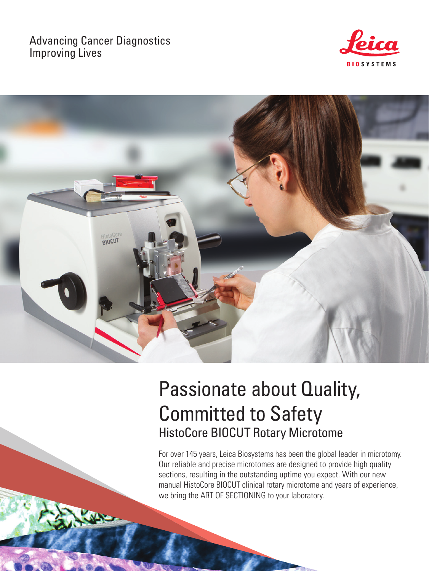# Advancing Cancer Diagnostics Improving Lives





# Passionate about Quality, Committed to Safety HistoCore BIOCUT Rotary Microtome

For over 145 years, Leica Biosystems has been the global leader in microtomy. Our reliable and precise microtomes are designed to provide high quality sections, resulting in the outstanding uptime you expect. With our new manual HistoCore BIOCUT clinical rotary microtome and years of experience, we bring the ART OF SECTIONING to your laboratory.